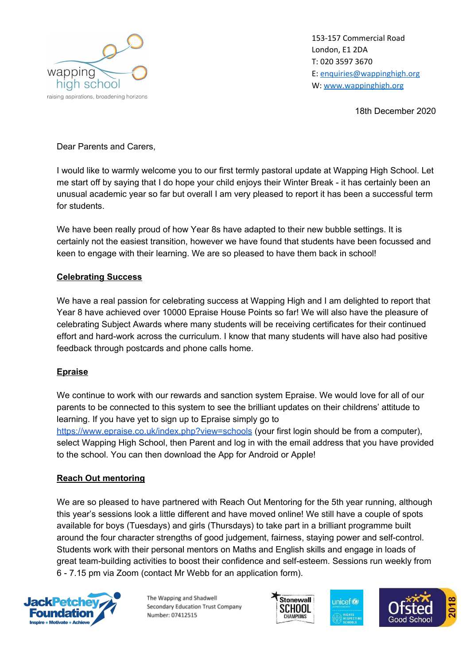

153-157 Commercial Road London, E1 2DA T: 020 3597 3670 E: [enquiries@wappinghigh.org](mailto:enquiries@wappinghigh.org) W: [www.wappinghigh.org](http://www.wappinghigh.org/)

18th December 2020

Dear Parents and Carers,

I would like to warmly welcome you to our first termly pastoral update at Wapping High School. Let me start off by saying that I do hope your child enjoys their Winter Break - it has certainly been an unusual academic year so far but overall I am very pleased to report it has been a successful term for students.

We have been really proud of how Year 8s have adapted to their new bubble settings. It is certainly not the easiest transition, however we have found that students have been focussed and keen to engage with their learning. We are so pleased to have them back in school!

### **Celebrating Success**

We have a real passion for celebrating success at Wapping High and I am delighted to report that Year 8 have achieved over 10000 Epraise House Points so far! We will also have the pleasure of celebrating Subject Awards where many students will be receiving certificates for their continued effort and hard-work across the curriculum. I know that many students will have also had positive feedback through postcards and phone calls home.

### **Epraise**

We continue to work with our rewards and sanction system Epraise. We would love for all of our parents to be connected to this system to see the brilliant updates on their childrens' attitude to learning. If you have yet to sign up to Epraise simply go to <https://www.epraise.co.uk/index.php?view=schools> (your first login should be from a computer), select Wapping High School, then Parent and log in with the email address that you have provided to the school. You can then download the App for Android or Apple!

### **Reach Out mentoring**

We are so pleased to have partnered with Reach Out Mentoring for the 5th year running, although this year's sessions look a little different and have moved online! We still have a couple of spots available for boys (Tuesdays) and girls (Thursdays) to take part in a brilliant programme built around the four character strengths of good judgement, fairness, staying power and self-control. Students work with their personal mentors on Maths and English skills and engage in loads of great team-building activities to boost their confidence and self-esteem. Sessions run weekly from 6 - 7.15 pm via Zoom (contact Mr Webb for an application form).



The Wapping and Shadwell Secondary Education Trust Company Number: 07412515